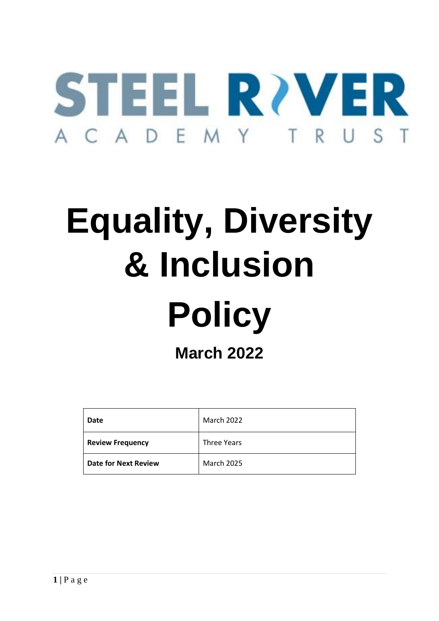

# **Equality, Diversity & Inclusion**

# **Policy**

**March 2022**

| Date                        | <b>March 2022</b>  |
|-----------------------------|--------------------|
| <b>Review Frequency</b>     | <b>Three Years</b> |
| <b>Date for Next Review</b> | <b>March 2025</b>  |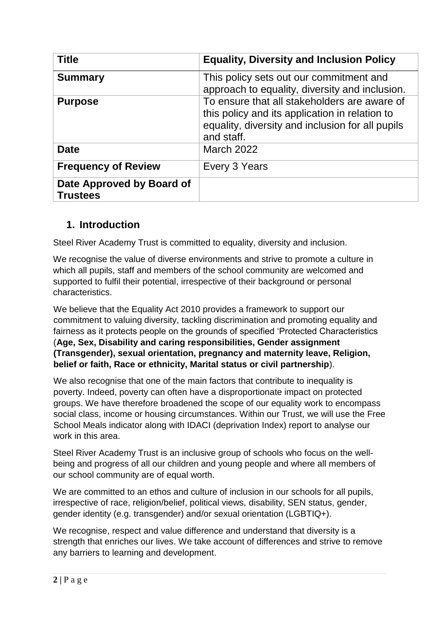| <b>Title</b>                                 | <b>Equality, Diversity and Inclusion Policy</b>                                                                                                                  |
|----------------------------------------------|------------------------------------------------------------------------------------------------------------------------------------------------------------------|
| <b>Summary</b>                               | This policy sets out our commitment and<br>approach to equality, diversity and inclusion.                                                                        |
| <b>Purpose</b>                               | To ensure that all stakeholders are aware of<br>this policy and its application in relation to<br>equality, diversity and inclusion for all pupils<br>and staff. |
| <b>Date</b>                                  | <b>March 2022</b>                                                                                                                                                |
| <b>Frequency of Review</b>                   | Every 3 Years                                                                                                                                                    |
| Date Approved by Board of<br><b>Trustees</b> |                                                                                                                                                                  |

# **1. Introduction**

Steel River Academy Trust is committed to equality, diversity and inclusion.

We recognise the value of diverse environments and strive to promote a culture in which all pupils, staff and members of the school community are welcomed and supported to fulfil their potential, irrespective of their background or personal characteristics.

We believe that the Equality Act 2010 provides a framework to support our commitment to valuing diversity, tackling discrimination and promoting equality and fairness as it protects people on the grounds of specified 'Protected Characteristics (**Age, Sex, Disability and caring responsibilities, Gender assignment (Transgender), sexual orientation, pregnancy and maternity leave, Religion, belief or faith, Race or ethnicity, Marital status or civil partnership**).

We also recognise that one of the main factors that contribute to inequality is poverty. Indeed, poverty can often have a disproportionate impact on protected groups. We have therefore broadened the scope of our equality work to encompass social class, income or housing circumstances. Within our Trust, we will use the Free School Meals indicator along with IDACI (deprivation Index) report to analyse our work in this area.

Steel River Academy Trust is an inclusive group of schools who focus on the wellbeing and progress of all our children and young people and where all members of our school community are of equal worth.

We are committed to an ethos and culture of inclusion in our schools for all pupils, irrespective of race, religion/belief, political views, disability, SEN status, gender, gender identity (e.g. transgender) and/or sexual orientation (LGBTIQ+).

We recognise, respect and value difference and understand that diversity is a strength that enriches our lives. We take account of differences and strive to remove any barriers to learning and development.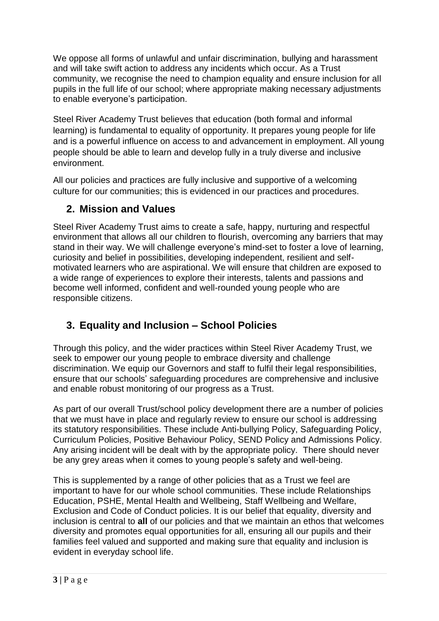We oppose all forms of unlawful and unfair discrimination, bullying and harassment and will take swift action to address any incidents which occur. As a Trust community, we recognise the need to champion equality and ensure inclusion for all pupils in the full life of our school; where appropriate making necessary adjustments to enable everyone's participation.

Steel River Academy Trust believes that education (both formal and informal learning) is fundamental to equality of opportunity. It prepares young people for life and is a powerful influence on access to and advancement in employment. All young people should be able to learn and develop fully in a truly diverse and inclusive environment.

All our policies and practices are fully inclusive and supportive of a welcoming culture for our communities; this is evidenced in our practices and procedures.

## **2. Mission and Values**

Steel River Academy Trust aims to create a safe, happy, nurturing and respectful environment that allows all our children to flourish, overcoming any barriers that may stand in their way. We will challenge everyone's mind-set to foster a love of learning, curiosity and belief in possibilities, developing independent, resilient and selfmotivated learners who are aspirational. We will ensure that children are exposed to a wide range of experiences to explore their interests, talents and passions and become well informed, confident and well-rounded young people who are responsible citizens.

# **3. Equality and Inclusion – School Policies**

Through this policy, and the wider practices within Steel River Academy Trust, we seek to empower our young people to embrace diversity and challenge discrimination. We equip our Governors and staff to fulfil their legal responsibilities, ensure that our schools' safeguarding procedures are comprehensive and inclusive and enable robust monitoring of our progress as a Trust.

As part of our overall Trust/school policy development there are a number of policies that we must have in place and regularly review to ensure our school is addressing its statutory responsibilities. These include Anti-bullying Policy, Safeguarding Policy, Curriculum Policies, Positive Behaviour Policy, SEND Policy and Admissions Policy. Any arising incident will be dealt with by the appropriate policy. There should never be any grey areas when it comes to young people's safety and well-being.

This is supplemented by a range of other policies that as a Trust we feel are important to have for our whole school communities. These include Relationships Education, PSHE, Mental Health and Wellbeing, Staff Wellbeing and Welfare, Exclusion and Code of Conduct policies. It is our belief that equality, diversity and inclusion is central to **all** of our policies and that we maintain an ethos that welcomes diversity and promotes equal opportunities for all, ensuring all our pupils and their families feel valued and supported and making sure that equality and inclusion is evident in everyday school life.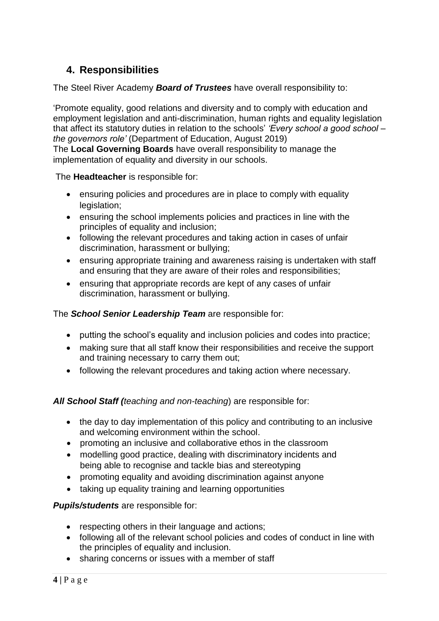# **4. Responsibilities**

The Steel River Academy *Board of Trustees* have overall responsibility to:

'Promote equality, good relations and diversity and to comply with education and employment legislation and anti-discrimination, human rights and equality legislation that affect its statutory duties in relation to the schools' *'Every school a good school – the governors role'* (Department of Education, August 2019)

The **Local Governing Boards** have overall responsibility to manage the implementation of equality and diversity in our schools.

The **Headteacher** is responsible for:

- ensuring policies and procedures are in place to comply with equality legislation;
- ensuring the school implements policies and practices in line with the principles of equality and inclusion;
- following the relevant procedures and taking action in cases of unfair discrimination, harassment or bullying;
- ensuring appropriate training and awareness raising is undertaken with staff and ensuring that they are aware of their roles and responsibilities;
- ensuring that appropriate records are kept of any cases of unfair discrimination, harassment or bullying.

## The *School Senior Leadership Team* are responsible for:

- putting the school's equality and inclusion policies and codes into practice;
- making sure that all staff know their responsibilities and receive the support and training necessary to carry them out;
- following the relevant procedures and taking action where necessary.

*All School Staff (teaching and non-teaching*) are responsible for:

- the day to day implementation of this policy and contributing to an inclusive and welcoming environment within the school.
- promoting an inclusive and collaborative ethos in the classroom
- modelling good practice, dealing with discriminatory incidents and being able to recognise and tackle bias and stereotyping
- promoting equality and avoiding discrimination against anyone
- taking up equality training and learning opportunities

*Pupils/students* are responsible for:

- respecting others in their language and actions;
- following all of the relevant school policies and codes of conduct in line with the principles of equality and inclusion.
- sharing concerns or issues with a member of staff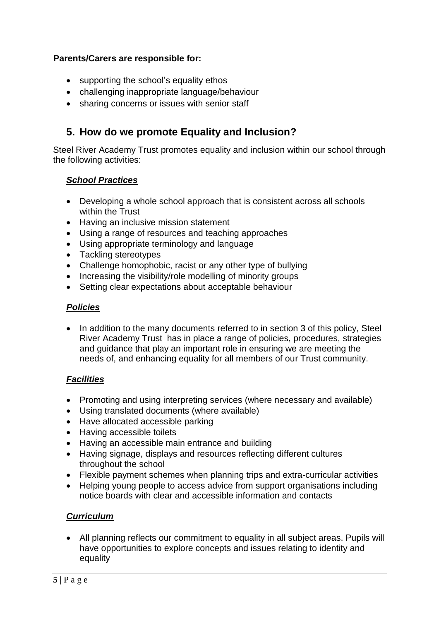### **Parents/Carers are responsible for:**

- supporting the school's equality ethos
- challenging inappropriate language/behaviour
- sharing concerns or issues with senior staff

## **5. How do we promote Equality and Inclusion?**

Steel River Academy Trust promotes equality and inclusion within our school through the following activities:

#### *School Practices*

- Developing a whole school approach that is consistent across all schools within the Trust
- Having an inclusive mission statement
- Using a range of resources and teaching approaches
- Using appropriate terminology and language
- Tackling stereotypes
- Challenge homophobic, racist or any other type of bullying
- Increasing the visibility/role modelling of minority groups
- Setting clear expectations about acceptable behaviour

### *Policies*

• In addition to the many documents referred to in section 3 of this policy, Steel River Academy Trust has in place a range of policies, procedures, strategies and guidance that play an important role in ensuring we are meeting the needs of, and enhancing equality for all members of our Trust community.

### *Facilities*

- Promoting and using interpreting services (where necessary and available)
- Using translated documents (where available)
- Have allocated accessible parking
- Having accessible toilets
- Having an accessible main entrance and building
- Having signage, displays and resources reflecting different cultures throughout the school
- Flexible payment schemes when planning trips and extra-curricular activities
- Helping young people to access advice from support organisations including notice boards with clear and accessible information and contacts

#### *Curriculum*

• All planning reflects our commitment to equality in all subiect areas. Pupils will have opportunities to explore concepts and issues relating to identity and equality